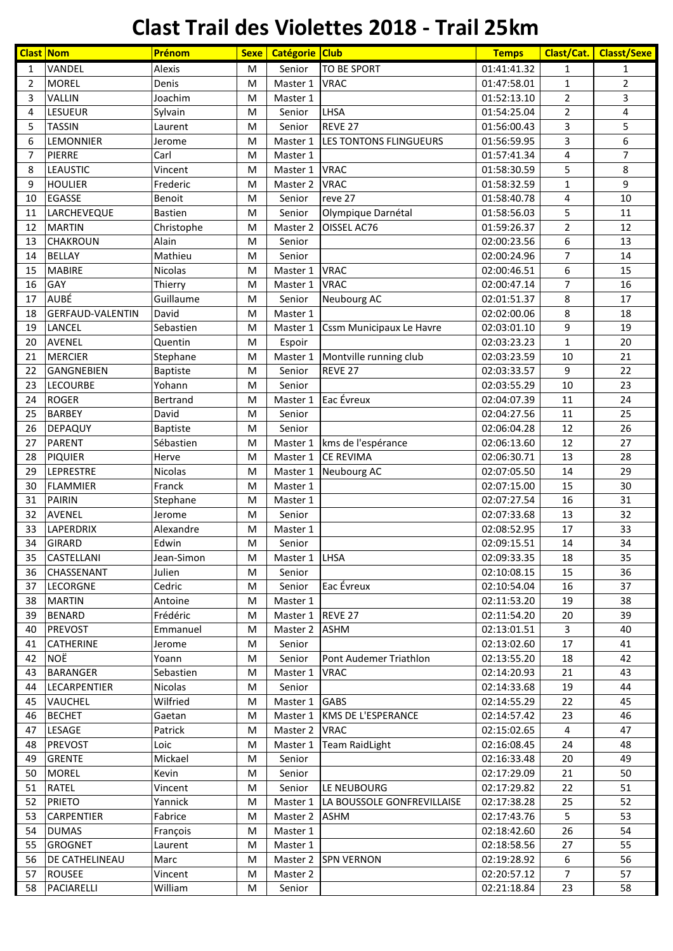## **Clast Trail des Violettes 2018 - Trail 25km**

| <b>Clast Nom</b> |                                 | Prénom             | <b>Sexe</b> | Catégorie Club |                            | <b>Temps</b> | Clast/Cat.     | <b>Classt/Sexe</b> |
|------------------|---------------------------------|--------------------|-------------|----------------|----------------------------|--------------|----------------|--------------------|
| $\mathbf{1}$     | VANDEL                          | Alexis             | M           | Senior         | TO BE SPORT                | 01:41:41.32  | 1              | 1                  |
| $\overline{2}$   | <b>MOREL</b>                    | Denis              | M           | Master 1       | <b>VRAC</b>                | 01:47:58.01  | $\mathbf{1}$   | $\overline{2}$     |
| 3                | VALLIN                          | Joachim            | M           | Master 1       |                            | 01:52:13.10  | $\overline{2}$ | 3                  |
| 4                | LESUEUR                         | Sylvain            | M           | Senior         | LHSA                       | 01:54:25.04  | $\overline{2}$ | 4                  |
| 5                | <b>TASSIN</b>                   | Laurent            | M           | Senior         | REVE 27                    | 01:56:00.43  | 3              | 5                  |
| 6                | LEMONNIER                       | Jerome             | M           | Master 1       | LES TONTONS FLINGUEURS     | 01:56:59.95  | 3              | 6                  |
| $\overline{7}$   | PIERRE                          | Carl               | M           | Master 1       |                            | 01:57:41.34  | 4              | $\overline{7}$     |
| 8                | <b>LEAUSTIC</b>                 | Vincent            | M           | Master 1       | <b>VRAC</b>                | 01:58:30.59  | 5              | 8                  |
| 9                | <b>HOULIER</b>                  | Frederic           | M           | Master 2       | <b>VRAC</b>                | 01:58:32.59  | $\mathbf{1}$   | 9                  |
| 10               | <b>EGASSE</b>                   | Benoit             | M           | Senior         | reve 27                    | 01:58:40.78  | 4              | 10                 |
| 11               | LARCHEVEQUE                     | <b>Bastien</b>     | M           | Senior         | Olympique Darnétal         | 01:58:56.03  | 5              | 11                 |
| 12               | <b>MARTIN</b>                   | Christophe         | M           | Master 2       | OISSEL AC76                | 01:59:26.37  | $\overline{2}$ | 12                 |
| 13               | <b>CHAKROUN</b>                 | Alain              | M           | Senior         |                            | 02:00:23.56  | 6              | 13                 |
| 14               | <b>BELLAY</b>                   | Mathieu            | M           | Senior         |                            | 02:00:24.96  | $\overline{7}$ | 14                 |
| 15               | <b>MABIRE</b>                   | Nicolas            | M           | Master 1       | <b>VRAC</b>                | 02:00:46.51  | 6              | 15                 |
| 16               | GAY                             | Thierry            | M           | Master 1       | <b>VRAC</b>                | 02:00:47.14  | 7              | 16                 |
| 17               | <b>AUBÉ</b>                     | Guillaume          | M           | Senior         | Neubourg AC                | 02:01:51.37  | 8              | 17                 |
| 18               | <b>GERFAUD-VALENTIN</b>         | David              | M           | Master 1       |                            | 02:02:00.06  | 8              | 18                 |
| 19               | LANCEL                          | Sebastien          | M           | Master 1       | Cssm Municipaux Le Havre   | 02:03:01.10  | 9              | 19                 |
| 20               | <b>AVENEL</b>                   | Quentin            | M           | Espoir         |                            | 02:03:23.23  | $\mathbf{1}$   | 20                 |
| 21               | <b>MERCIER</b>                  | Stephane           | M           | Master 1       | Montville running club     | 02:03:23.59  | 10             | 21                 |
| 22               | <b>GANGNEBIEN</b>               | <b>Baptiste</b>    | M           | Senior         | REVE 27                    | 02:03:33.57  | 9              | 22                 |
| 23               | <b>LECOURBE</b>                 | Yohann             | M           | Senior         |                            | 02:03:55.29  | 10             | 23                 |
| 24               | <b>ROGER</b>                    | Bertrand           | M           | Master 1       | Eac Évreux                 | 02:04:07.39  | 11             | 24                 |
| 25               | <b>BARBEY</b>                   | David              | M           | Senior         |                            | 02:04:27.56  | 11             | 25                 |
| 26               | <b>DEPAQUY</b>                  | <b>Baptiste</b>    | M           | Senior         |                            | 02:06:04.28  | 12             | 26                 |
| 27               | <b>PARENT</b>                   | Sébastien          | M           | Master 1       | kms de l'espérance         | 02:06:13.60  | 12             | 27                 |
| 28               | <b>PIQUIER</b>                  | Herve              | M           | Master 1       | <b>CE REVIMA</b>           | 02:06:30.71  | 13             | 28                 |
| 29               | <b>LEPRESTRE</b>                | Nicolas            | M           | Master 1       | Neubourg AC                | 02:07:05.50  | 14             | 29                 |
| 30               | <b>FLAMMIER</b>                 | Franck             | M           | Master 1       |                            | 02:07:15.00  | 15             | 30                 |
| 31               | <b>PAIRIN</b>                   | Stephane           | M           | Master 1       |                            | 02:07:27.54  | 16             | 31                 |
| 32               | <b>AVENEL</b>                   | Jerome             | M           | Senior         |                            | 02:07:33.68  | 13             | 32                 |
| 33               | LAPERDRIX                       | Alexandre          | M           | Master 1       |                            | 02:08:52.95  | 17             | 33                 |
| 34               | <b>GIRARD</b>                   | Edwin              | M           | Senior         |                            | 02:09:15.51  | 14             | 34                 |
| 35               | <b>CASTELLANI</b>               | Jean-Simon         | M           | Master 1       | <b>LHSA</b>                | 02:09:33.35  | 18             | 35                 |
| 36               | CHASSENANT                      | Julien             | M           | Senior         |                            | 02:10:08.15  | 15             | 36                 |
| 37               | <b>LECORGNE</b>                 | Cedric             | M           | Senior         | Eac Évreux                 | 02:10:54.04  | 16             | 37                 |
| 38               | <b>MARTIN</b>                   | Antoine            | M           | Master 1       |                            | 02:11:53.20  | 19             | 38                 |
| 39               | <b>BENARD</b>                   | Frédéric           | M           | Master 1       | REVE 27                    | 02:11:54.20  | 20             | 39                 |
| 40               | <b>PREVOST</b>                  | Emmanuel           | M           | Master 2       | <b>ASHM</b>                | 02:13:01.51  | 3              | 40                 |
| 41               | CATHERINE                       | Jerome             | М           | Senior         |                            | 02:13:02.60  | 17             | 41                 |
| 42               | NOË                             | Yoann              | M           | Senior         | Pont Audemer Triathlon     | 02:13:55.20  | 18             | 42                 |
| 43               | <b>BARANGER</b>                 | Sebastien          | M           | Master 1       | <b>VRAC</b>                | 02:14:20.93  | 21             | 43                 |
| 44               | LECARPENTIER                    | Nicolas            | M           | Senior         |                            | 02:14:33.68  | 19             | 44                 |
| 45               | VAUCHEL                         | Wilfried           | M           | Master 1       | <b>GABS</b>                | 02:14:55.29  | 22             | 45                 |
| 46               | <b>BECHET</b>                   | Gaetan             | M           | Master 1       | <b>KMS DE L'ESPERANCE</b>  | 02:14:57.42  | 23             | 46                 |
| 47               | LESAGE                          | Patrick            | M           | Master 2       | <b>VRAC</b>                | 02:15:02.65  | 4              | 47                 |
| 48               | <b>PREVOST</b>                  | Loic               | M           | Master 1       | <b>Team RaidLight</b>      | 02:16:08.45  | 24             | 48                 |
| 49               | <b>GRENTE</b>                   | Mickael            | М           | Senior         |                            | 02:16:33.48  | 20             | 49                 |
| 50               | <b>MOREL</b>                    | Kevin              | M           | Senior         |                            | 02:17:29.09  | 21             | 50                 |
| 51               | <b>RATEL</b>                    | Vincent            | М           | Senior         | LE NEUBOURG                | 02:17:29.82  | 22             | 51                 |
| 52               | <b>PRIETO</b>                   | Yannick            | M           | Master 1       | LA BOUSSOLE GONFREVILLAISE | 02:17:38.28  | 25             | 52                 |
| 53               | <b>CARPENTIER</b>               | Fabrice            | M           | Master 2       | <b>ASHM</b>                | 02:17:43.76  | 5              | 53                 |
| 54               | <b>DUMAS</b>                    | François           | M           | Master 1       |                            | 02:18:42.60  | 26             | 54<br>55           |
| 55               | <b>GROGNET</b>                  | Laurent            | M           | Master 1       |                            | 02:18:58.56  | 27             | 56                 |
| 56               | DE CATHELINEAU<br><b>ROUSEE</b> | Marc               | M           | Master 2       | <b>SPN VERNON</b>          | 02:19:28.92  | 6              | 57                 |
| 57<br>58         |                                 | Vincent<br>William | M           | Master 2       |                            | 02:20:57.12  | 7              | 58                 |
|                  | PACIARELLI                      |                    | M           | Senior         |                            | 02:21:18.84  | 23             |                    |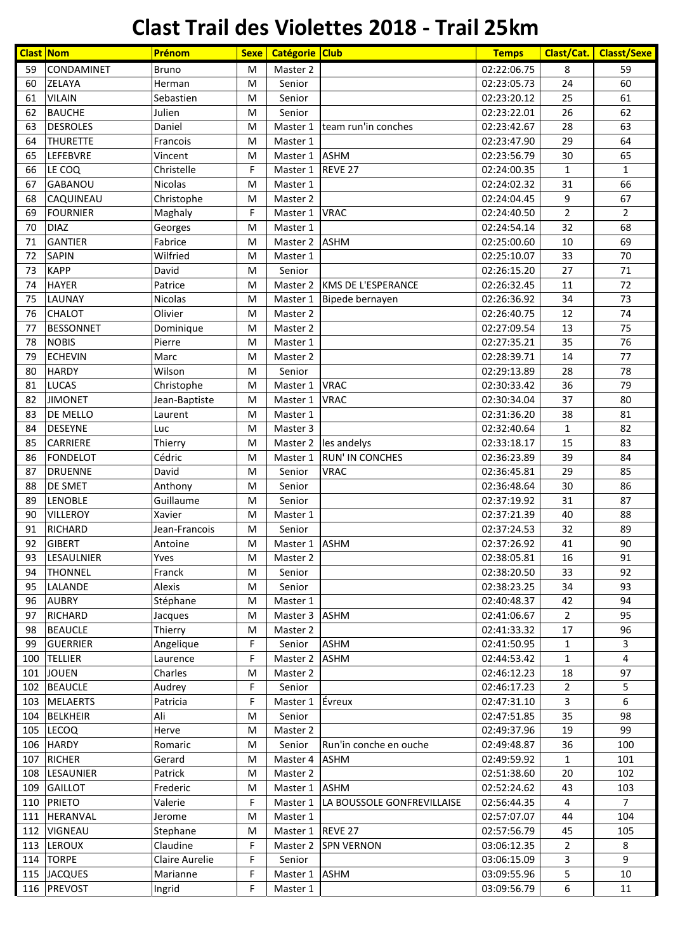## **Clast Trail des Violettes 2018 - Trail 25km**

| <b>Clast Nom</b> |                   | Prénom         | <b>Sexe</b> | Catégorie Club |                            | <b>Temps</b> | Clast/Cat.     | <b>Classt/Sexe</b> |
|------------------|-------------------|----------------|-------------|----------------|----------------------------|--------------|----------------|--------------------|
| 59               | CONDAMINET        | <b>Bruno</b>   | M           | Master 2       |                            | 02:22:06.75  | 8              | 59                 |
| 60               | <b>ZELAYA</b>     | Herman         | M           | Senior         |                            | 02:23:05.73  | 24             | 60                 |
| 61               | <b>VILAIN</b>     | Sebastien      | M           | Senior         |                            | 02:23:20.12  | 25             | 61                 |
| 62               | <b>BAUCHE</b>     | Julien         | M           | Senior         |                            | 02:23:22.01  | 26             | 62                 |
| 63               | <b>DESROLES</b>   | Daniel         | M           | Master 1       | team run'in conches        | 02:23:42.67  | 28             | 63                 |
| 64               | <b>THURETTE</b>   | Francois       | M           | Master 1       |                            | 02:23:47.90  | 29             | 64                 |
| 65               | LEFEBVRE          | Vincent        | M           | Master 1       | <b>ASHM</b>                | 02:23:56.79  | 30             | 65                 |
| 66               | LE COQ            | Christelle     | F           | Master 1       | REVE 27                    | 02:24:00.35  | $\mathbf{1}$   | $\mathbf{1}$       |
| 67               | <b>GABANOU</b>    | Nicolas        | M           | Master 1       |                            | 02:24:02.32  | 31             | 66                 |
| 68               | CAQUINEAU         | Christophe     | M           | Master 2       |                            | 02:24:04.45  | 9              | 67                 |
| 69               | <b>FOURNIER</b>   | Maghaly        | F           | Master 1       | <b>VRAC</b>                | 02:24:40.50  | $\overline{2}$ | $\overline{2}$     |
| 70               | <b>DIAZ</b>       | Georges        | M           | Master 1       |                            | 02:24:54.14  | 32             | 68                 |
| 71               | <b>GANTIER</b>    | Fabrice        | M           | Master 2       | <b>ASHM</b>                | 02:25:00.60  | 10             | 69                 |
| 72               | <b>SAPIN</b>      | Wilfried       | M           | Master 1       |                            | 02:25:10.07  | 33             | 70                 |
| 73               | <b>KAPP</b>       | David          | M           | Senior         |                            | 02:26:15.20  | 27             | 71                 |
| 74               | <b>HAYER</b>      | Patrice        | M           | Master 2       | KMS DE L'ESPERANCE         | 02:26:32.45  | 11             | 72                 |
| 75               | LAUNAY            | Nicolas        | M           | Master 1       | Bipede bernayen            | 02:26:36.92  | 34             | 73                 |
| 76               | <b>CHALOT</b>     | Olivier        | M           | Master 2       |                            | 02:26:40.75  | 12             | 74                 |
| 77               | <b>BESSONNET</b>  | Dominique      | M           | Master 2       |                            | 02:27:09.54  | 13             | 75                 |
| 78               | <b>NOBIS</b>      | Pierre         | M           | Master 1       |                            | 02:27:35.21  | 35             | 76                 |
| 79               | <b>ECHEVIN</b>    | Marc           | M           | Master 2       |                            | 02:28:39.71  | 14             | 77                 |
| 80               | <b>HARDY</b>      | Wilson         | M           | Senior         |                            | 02:29:13.89  | 28             | 78                 |
| 81               | <b>LUCAS</b>      | Christophe     | M           | Master 1       | <b>VRAC</b>                | 02:30:33.42  | 36             | 79                 |
| 82               | <b>JIMONET</b>    | Jean-Baptiste  | M           | Master 1       | <b>VRAC</b>                | 02:30:34.04  | 37             | 80                 |
| 83               |                   |                |             |                |                            |              |                | 81                 |
|                  | DE MELLO          | Laurent        | M           | Master 1       |                            | 02:31:36.20  | 38             |                    |
| 84               | <b>DESEYNE</b>    | Luc            | M           | Master 3       |                            | 02:32:40.64  | $\mathbf{1}$   | 82                 |
| 85               | <b>CARRIERE</b>   | Thierry        | M           | Master 2       | les andelys                | 02:33:18.17  | 15             | 83                 |
| 86               | <b>FONDELOT</b>   | Cédric         | M           | Master 1       | <b>RUN' IN CONCHES</b>     | 02:36:23.89  | 39             | 84                 |
| 87               | <b>DRUENNE</b>    | David          | M           | Senior         | <b>VRAC</b>                | 02:36:45.81  | 29             | 85                 |
| 88               | <b>DE SMET</b>    | Anthony        | M           | Senior         |                            | 02:36:48.64  | 30             | 86                 |
| 89               | LENOBLE           | Guillaume      | M           | Senior         |                            | 02:37:19.92  | 31             | 87                 |
| 90               | <b>VILLEROY</b>   | Xavier         | M           | Master 1       |                            | 02:37:21.39  | 40             | 88                 |
| 91               | <b>RICHARD</b>    | Jean-Francois  | M           | Senior         |                            | 02:37:24.53  | 32             | 89                 |
| 92               | <b>GIBERT</b>     | Antoine        | M           | Master 1 ASHM  |                            | 02:37:26.92  | 41             | 90                 |
| 93               | <b>LESAULNIER</b> | Yves           | M           | Master 2       |                            | 02:38:05.81  | 16             | 91                 |
| 94               | <b>THONNEL</b>    | Franck         | M           | Senior         |                            | 02:38:20.50  | 33             | 92                 |
| 95               | LALANDE           | Alexis         | М           | Senior         |                            | 02:38:23.25  | 34             | 93                 |
| 96               | <b>AUBRY</b>      | Stéphane       | М           | Master 1       |                            | 02:40:48.37  | 42             | 94                 |
| 97               | <b>RICHARD</b>    | Jacques        | M           | Master 3       | <b>ASHM</b>                | 02:41:06.67  | $\overline{2}$ | 95                 |
| 98               | <b>BEAUCLE</b>    | Thierry        | M           | Master 2       |                            | 02:41:33.32  | 17             | 96                 |
| 99               | <b>GUERRIER</b>   | Angelique      | F           | Senior         | <b>ASHM</b>                | 02:41:50.95  | 1              | 3                  |
| 100              | <b>TELLIER</b>    | Laurence       | F           | Master 2       | <b>ASHM</b>                | 02:44:53.42  | 1              | 4                  |
| 101              | <b>JOUEN</b>      | Charles        | М           | Master 2       |                            | 02:46:12.23  | 18             | 97                 |
|                  | 102 BEAUCLE       | Audrey         | F           | Senior         |                            | 02:46:17.23  | 2              | 5                  |
|                  | 103 MELAERTS      | Patricia       | F           | Master 1       | Évreux                     | 02:47:31.10  | 3              | 6                  |
|                  | 104 BELKHEIR      | Ali            | M           | Senior         |                            | 02:47:51.85  | 35             | 98                 |
|                  | 105 LECOQ         | Herve          | M           | Master 2       |                            | 02:49:37.96  | 19             | 99                 |
|                  | 106 HARDY         | Romaric        | M           | Senior         | Run'in conche en ouche     | 02:49:48.87  | 36             | 100                |
| 107              | <b>RICHER</b>     | Gerard         | M           | Master 4       | <b>ASHM</b>                | 02:49:59.92  | $\mathbf{1}$   | 101                |
|                  | 108 LESAUNIER     | Patrick        | М           | Master 2       |                            | 02:51:38.60  | 20             | 102                |
| 109              | <b>GAILLOT</b>    | Frederic       | M           | Master 1       | <b>ASHM</b>                | 02:52:24.62  | 43             | 103                |
|                  | 110 PRIETO        | Valerie        | F           | Master 1       | LA BOUSSOLE GONFREVILLAISE | 02:56:44.35  | 4              | $\overline{7}$     |
| 111              | <b>HERANVAL</b>   | Jerome         | M           | Master 1       |                            | 02:57:07.07  | 44             | 104                |
|                  | 112 VIGNEAU       | Stephane       | M           | Master 1       | REVE 27                    | 02:57:56.79  | 45             | 105                |
|                  | 113 LEROUX        | Claudine       | F           | Master 2       | <b>SPN VERNON</b>          | 03:06:12.35  | 2              | 8                  |
|                  | 114 TORPE         | Claire Aurelie | F           | Senior         |                            | 03:06:15.09  | 3              | 9                  |
|                  | 115 JACQUES       | Marianne       | F           | Master 1       | <b>ASHM</b>                | 03:09:55.96  | 5              | 10                 |
|                  | 116 PREVOST       | Ingrid         | F           | Master 1       |                            | 03:09:56.79  | 6              | 11                 |
|                  |                   |                |             |                |                            |              |                |                    |